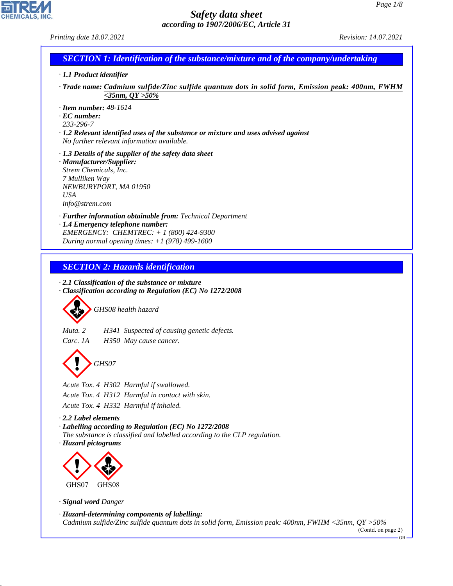CHEMICALS, INC.

44.1.1

| Printing date 18.07.2021                                                                                                                                                                                   | Revision: 14.07.2021 |
|------------------------------------------------------------------------------------------------------------------------------------------------------------------------------------------------------------|----------------------|
| <b>SECTION 1: Identification of the substance/mixture and of the company/undertaking</b>                                                                                                                   |                      |
| · 1.1 Product identifier                                                                                                                                                                                   |                      |
| Trade name: Cadmium sulfide/Zinc sulfide quantum dots in solid form, Emission peak: 400nm, FWHM<br>$<$ 35nm, QY >50%                                                                                       |                      |
| $\cdot$ Item number: 48-1614<br>$\cdot$ EC number:<br>233-296-7<br>$\cdot$ 1.2 Relevant identified uses of the substance or mixture and uses advised against<br>No further relevant information available. |                      |
| $\cdot$ 1.3 Details of the supplier of the safety data sheet<br>· Manufacturer/Supplier:<br>Strem Chemicals, Inc.<br>7 Mulliken Way<br>NEWBURYPORT, MA 01950<br><b>USA</b><br>info@strem.com               |                      |
| · Further information obtainable from: Technical Department<br>· 1.4 Emergency telephone number:<br>EMERGENCY: CHEMTREC: + 1 (800) 424-9300<br>During normal opening times: $+1$ (978) 499-1600            |                      |
| <b>SECTION 2: Hazards identification</b>                                                                                                                                                                   |                      |
| $\cdot$ 2.1 Classification of the substance or mixture<br>Classification according to Regulation (EC) No 1272/2008<br>GHS08 health hazard                                                                  |                      |
| Muta. 2<br>H341 Suspected of causing genetic defects.<br>Carc. 1A<br>H350 May cause cancer.                                                                                                                |                      |
| GHS07                                                                                                                                                                                                      |                      |
| Acute Tox. 4 H302 Harmful if swallowed.<br>Acute Tox. 4 H312 Harmful in contact with skin.<br>Acute Tox. 4 H332 Harmful if inhaled.                                                                        |                      |
| $\cdot$ 2.2 Label elements<br>· Labelling according to Regulation (EC) No 1272/2008<br>The substance is classified and labelled according to the CLP regulation.<br>· Hazard pictograms<br>GHS07<br>GHS08  |                      |
| · Signal word Danger                                                                                                                                                                                       |                      |
| · Hazard-determining components of labelling:<br>Cadmium sulfide/Zinc sulfide quantum dots in solid form, Emission peak: 400nm, FWHM <35nm, QY >50%                                                        | (Contd. on page 2)   |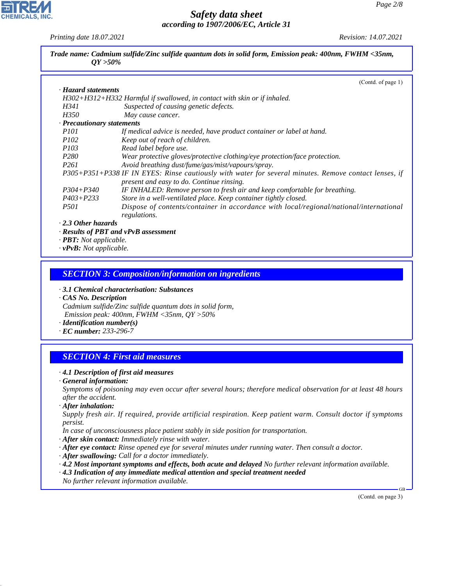*Printing date 18.07.2021 Revision: 14.07.2021*

| $OY > 50\%$         | Trade name: Cadmium sulfide/Zinc sulfide quantum dots in solid form, Emission peak: 400nm, FWHM <35nm, |
|---------------------|--------------------------------------------------------------------------------------------------------|
| · Hazard statements | (Contd. of page 1)                                                                                     |

|                                                                            | $H302+H312+H332$ Harmful if swallowed, in contact with skin or if inhaled.                            |
|----------------------------------------------------------------------------|-------------------------------------------------------------------------------------------------------|
| H341                                                                       | Suspected of causing genetic defects.                                                                 |
| H350                                                                       | May cause cancer.                                                                                     |
| · Precautionary statements                                                 |                                                                                                       |
| <i>P101</i>                                                                | If medical advice is needed, have product container or label at hand.                                 |
| <i>P102</i>                                                                | Keep out of reach of children.                                                                        |
| <i>P103</i>                                                                | Read label before use.                                                                                |
| P <sub>280</sub>                                                           | Wear protective gloves/protective clothing/eye protection/face protection.                            |
| <i>P261</i>                                                                | Avoid breathing dust/fume/gas/mist/vapours/spray.                                                     |
|                                                                            | P305+P351+P338 IF IN EYES: Rinse cautiously with water for several minutes. Remove contact lenses, if |
|                                                                            | present and easy to do. Continue rinsing.                                                             |
| $P304 + P340$                                                              | IF INHALED: Remove person to fresh air and keep comfortable for breathing.                            |
| $P403 + P233$                                                              | Store in a well-ventilated place. Keep container tightly closed.                                      |
| <i>P501</i>                                                                | Dispose of contents/container in accordance with local/regional/national/international                |
|                                                                            | regulations.                                                                                          |
| $\cdot$ 2.3 Other hazards                                                  |                                                                                                       |
|                                                                            | $\cdot$ Results of PBT and vPvB assessment                                                            |
| $\mathbf{m}\mathbf{m}$ $\mathbf{v}$ $\mathbf{v}$ $\mathbf{v}$ $\mathbf{v}$ |                                                                                                       |

*· PBT: Not applicable. · vPvB: Not applicable.*

#### *SECTION 3: Composition/information on ingredients*

*· 3.1 Chemical characterisation: Substances*

*· CAS No. Description Cadmium sulfide/Zinc sulfide quantum dots in solid form, Emission peak: 400nm, FWHM <35nm, QY >50%*

*· Identification number(s)*

*· EC number: 233-296-7*

# *SECTION 4: First aid measures*

#### *· 4.1 Description of first aid measures*

*· General information:*

*Symptoms of poisoning may even occur after several hours; therefore medical observation for at least 48 hours after the accident.*

*· After inhalation:*

44.1.1

*Supply fresh air. If required, provide artificial respiration. Keep patient warm. Consult doctor if symptoms persist.*

*In case of unconsciousness place patient stably in side position for transportation.*

- *· After skin contact: Immediately rinse with water.*
- *· After eye contact: Rinse opened eye for several minutes under running water. Then consult a doctor.*
- *· After swallowing: Call for a doctor immediately.*
- *· 4.2 Most important symptoms and effects, both acute and delayed No further relevant information available.*
- *· 4.3 Indication of any immediate medical attention and special treatment needed*
- *No further relevant information available.*

(Contd. on page 3)

GB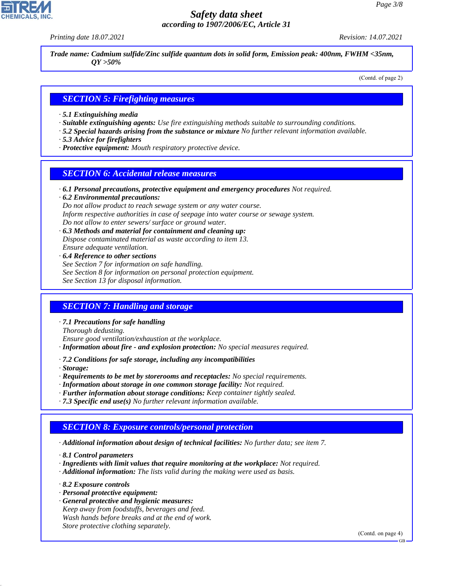*Printing date 18.07.2021 Revision: 14.07.2021*

*Trade name: Cadmium sulfide/Zinc sulfide quantum dots in solid form, Emission peak: 400nm, FWHM <35nm, QY >50%*

(Contd. of page 2)

#### *SECTION 5: Firefighting measures*

- *· 5.1 Extinguishing media*
- *· Suitable extinguishing agents: Use fire extinguishing methods suitable to surrounding conditions.*
- *· 5.2 Special hazards arising from the substance or mixture No further relevant information available.*
- *· 5.3 Advice for firefighters*
- *· Protective equipment: Mouth respiratory protective device.*

#### *SECTION 6: Accidental release measures*

*· 6.1 Personal precautions, protective equipment and emergency procedures Not required.*

*· 6.2 Environmental precautions: Do not allow product to reach sewage system or any water course. Inform respective authorities in case of seepage into water course or sewage system. Do not allow to enter sewers/ surface or ground water.*

- *· 6.3 Methods and material for containment and cleaning up: Dispose contaminated material as waste according to item 13. Ensure adequate ventilation.*
- *· 6.4 Reference to other sections See Section 7 for information on safe handling. See Section 8 for information on personal protection equipment. See Section 13 for disposal information.*

#### *SECTION 7: Handling and storage*

*· 7.1 Precautions for safe handling*

*Thorough dedusting.*

*Ensure good ventilation/exhaustion at the workplace.*

- *· Information about fire and explosion protection: No special measures required.*
- *· 7.2 Conditions for safe storage, including any incompatibilities*

*· Storage:*

- *· Requirements to be met by storerooms and receptacles: No special requirements.*
- *· Information about storage in one common storage facility: Not required.*
- *· Further information about storage conditions: Keep container tightly sealed.*
- *· 7.3 Specific end use(s) No further relevant information available.*

#### *SECTION 8: Exposure controls/personal protection*

*· Additional information about design of technical facilities: No further data; see item 7.*

*· 8.1 Control parameters*

- *· Ingredients with limit values that require monitoring at the workplace: Not required.*
- *· Additional information: The lists valid during the making were used as basis.*

*· 8.2 Exposure controls*

44.1.1

- *· Personal protective equipment:*
- *· General protective and hygienic measures: Keep away from foodstuffs, beverages and feed. Wash hands before breaks and at the end of work. Store protective clothing separately.*

(Contd. on page 4)

GB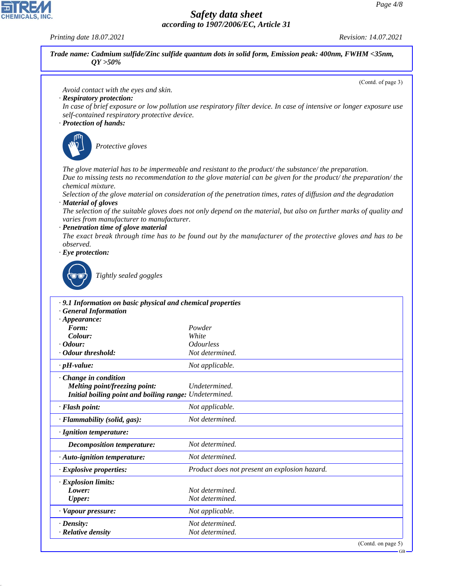*Printing date 18.07.2021 Revision: 14.07.2021*

44.1.1



GB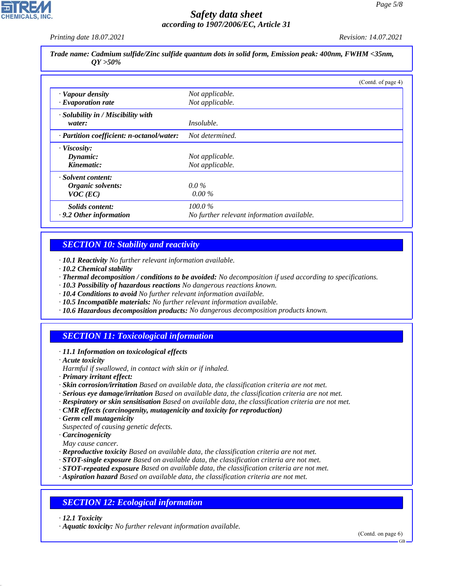*Printing date 18.07.2021 Revision: 14.07.2021*

*Trade name: Cadmium sulfide/Zinc sulfide quantum dots in solid form, Emission peak: 400nm, FWHM <35nm, QY >50%*

|                                           |                                            | (Contd. of page 4) |
|-------------------------------------------|--------------------------------------------|--------------------|
| · Vapour density                          | Not applicable.                            |                    |
| $\cdot$ Evaporation rate                  | Not applicable.                            |                    |
| · Solubility in / Miscibility with        |                                            |                    |
| water:                                    | <i>Insoluble.</i>                          |                    |
| · Partition coefficient: n-octanol/water: | Not determined.                            |                    |
| · Viscosity:                              |                                            |                    |
| Dynamic:                                  | Not applicable.                            |                    |
| Kinematic:                                | Not applicable.                            |                    |
| · Solvent content:                        |                                            |                    |
| Organic solvents:                         | $0.0\%$                                    |                    |
| $VOC$ (EC)                                | $0.00\%$                                   |                    |
| Solids content:                           | $100.0\%$                                  |                    |
| $\cdot$ 9.2 Other information             | No further relevant information available. |                    |

### *SECTION 10: Stability and reactivity*

*· 10.1 Reactivity No further relevant information available.*

- *· 10.2 Chemical stability*
- *· Thermal decomposition / conditions to be avoided: No decomposition if used according to specifications.*
- *· 10.3 Possibility of hazardous reactions No dangerous reactions known.*
- *· 10.4 Conditions to avoid No further relevant information available.*
- *· 10.5 Incompatible materials: No further relevant information available.*
- *· 10.6 Hazardous decomposition products: No dangerous decomposition products known.*

# *SECTION 11: Toxicological information*

- *· 11.1 Information on toxicological effects*
- *· Acute toxicity*
- *Harmful if swallowed, in contact with skin or if inhaled.*
- *· Primary irritant effect:*
- *· Skin corrosion/irritation Based on available data, the classification criteria are not met.*
- *· Serious eye damage/irritation Based on available data, the classification criteria are not met.*
- *· Respiratory or skin sensitisation Based on available data, the classification criteria are not met.*
- *· CMR effects (carcinogenity, mutagenicity and toxicity for reproduction)*
- *· Germ cell mutagenicity*
- *Suspected of causing genetic defects.*
- *· Carcinogenicity*
- *May cause cancer.*
- *· Reproductive toxicity Based on available data, the classification criteria are not met.*
- *· STOT-single exposure Based on available data, the classification criteria are not met.*
- *· STOT-repeated exposure Based on available data, the classification criteria are not met.*
- *· Aspiration hazard Based on available data, the classification criteria are not met.*

# *SECTION 12: Ecological information*

*· 12.1 Toxicity*

44.1.1

*· Aquatic toxicity: No further relevant information available.*

(Contd. on page 6)

GB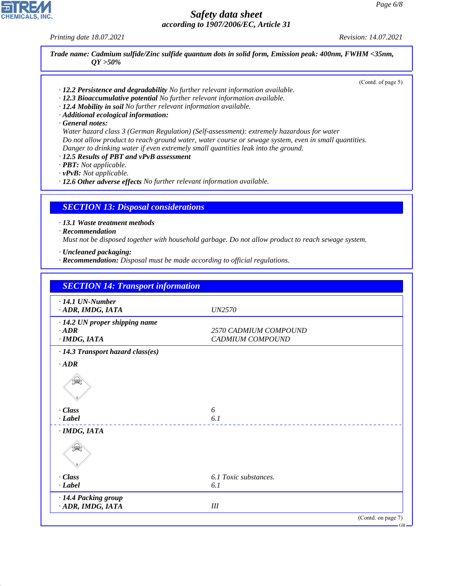*Printing date 18.07.2021 Revision: 14.07.2021*

**CHEMICALS, INC** 

*Trade name: Cadmium sulfide/Zinc sulfide quantum dots in solid form, Emission peak: 400nm, FWHM <35nm, QY >50%*

(Contd. of page 5)

- *· 12.2 Persistence and degradability No further relevant information available.*
- *· 12.3 Bioaccumulative potential No further relevant information available.*
- *· 12.4 Mobility in soil No further relevant information available.*
- *· Additional ecological information:*
- *· General notes:*

*Water hazard class 3 (German Regulation) (Self-assessment): extremely hazardous for water Do not allow product to reach ground water, water course or sewage system, even in small quantities. Danger to drinking water if even extremely small quantities leak into the ground.*

- *· 12.5 Results of PBT and vPvB assessment*
- *· PBT: Not applicable.*

*· vPvB: Not applicable.*

*· 12.6 Other adverse effects No further relevant information available.*

#### *SECTION 13: Disposal considerations*

*· 13.1 Waste treatment methods*

*· Recommendation*

44.1.1

*Must not be disposed together with household garbage. Do not allow product to reach sewage system.*

- *· Uncleaned packaging:*
- *· Recommendation: Disposal must be made according to official regulations.*

| <b>SECTION 14: Transport information</b>                               |                                           |
|------------------------------------------------------------------------|-------------------------------------------|
| $\cdot$ 14.1 UN-Number<br>· ADR, IMDG, IATA                            | <i>UN2570</i>                             |
| · 14.2 UN proper shipping name<br>$\cdot$ ADR<br>$·$ <i>IMDG, IATA</i> | 2570 CADMIUM COMPOUND<br>CADMIUM COMPOUND |
| · 14.3 Transport hazard class(es)                                      |                                           |
| $\cdot$ ADR                                                            |                                           |
| 奱                                                                      |                                           |
| $\cdot$ Class                                                          | 6                                         |
| $\cdot$ <i>Label</i>                                                   | 6.1                                       |
| $·$ <i>IMDG, IATA</i>                                                  |                                           |
| ્≥ે                                                                    |                                           |
| $\cdot$ Class                                                          | 6.1 Toxic substances.                     |
| $\cdot$ <i>Label</i>                                                   | 6.1                                       |
| · 14.4 Packing group<br>· ADR, IMDG, IATA                              | III                                       |
|                                                                        | (Contd. on page 7)                        |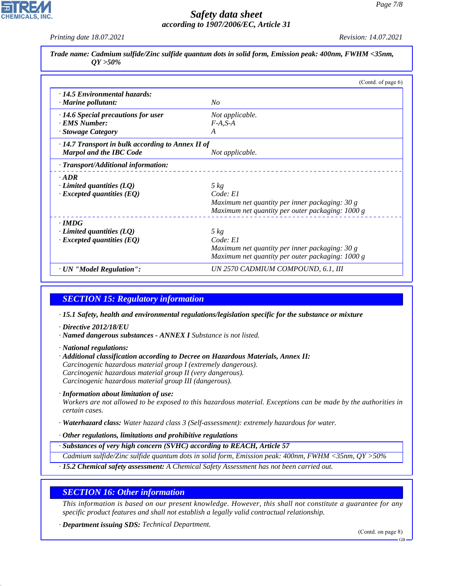*Printing date 18.07.2021 Revision: 14.07.2021*

| Trade name: Cadmium sulfide/Zinc sulfide quantum dots in solid form, Emission peak: 400nm, FWHM <35nm,<br>$OY > 50\%$ |                              |                       |
|-----------------------------------------------------------------------------------------------------------------------|------------------------------|-----------------------|
|                                                                                                                       |                              | (Contd. of page $6$ ) |
| $\cdot$ 14.5 Environmental hazards:<br>$\cdot$ Marine pollutant:                                                      | No                           |                       |
| $\cdot$ 14.6 Special precautions for user<br>· EMS Number:<br>· Stowage Category                                      | Not applicable.<br>$F-A.S-A$ |                       |

| $\cdot$ 14.7 Transport in bulk according to Annex II of |                                                  |
|---------------------------------------------------------|--------------------------------------------------|
| <b>Marpol and the IBC Code</b>                          | Not applicable.                                  |
| · Transport/Additional information:                     |                                                  |
| $\cdot$ ADR                                             |                                                  |
| Limited quantities $(LQ)$                               | $5 \ kg$                                         |
| $\cdot$ Excepted quantities (EQ)                        | Code: El                                         |
|                                                         | Maximum net quantity per inner packaging: $30 g$ |
|                                                         | Maximum net quantity per outer packaging: 1000 g |
| $\cdot$ IMDG                                            |                                                  |
| Limited quantities $(LQ)$                               | $5 \ kg$                                         |
| $\cdot$ Excepted quantities (EQ)                        | Code: El                                         |
|                                                         | Maximum net quantity per inner packaging: 30 g   |
|                                                         | Maximum net quantity per outer packaging: 1000 g |
| · UN "Model Regulation":                                | UN 2570 CADMIUM COMPOUND, 6.1, III               |

# *SECTION 15: Regulatory information*

*· 15.1 Safety, health and environmental regulations/legislation specific for the substance or mixture*

- *· Directive 2012/18/EU*
- *· Named dangerous substances ANNEX I Substance is not listed.*
- *· National regulations:*

44.1.1

- *· Additional classification according to Decree on Hazardous Materials, Annex II: Carcinogenic hazardous material group I (extremely dangerous). Carcinogenic hazardous material group II (very dangerous). Carcinogenic hazardous material group III (dangerous).*
- *· Information about limitation of use:*

*Workers are not allowed to be exposed to this hazardous material. Exceptions can be made by the authorities in certain cases.*

*· Waterhazard class: Water hazard class 3 (Self-assessment): extremely hazardous for water.*

#### *· Other regulations, limitations and prohibitive regulations*

*· Substances of very high concern (SVHC) according to REACH, Article 57*

*Cadmium sulfide/Zinc sulfide quantum dots in solid form, Emission peak: 400nm, FWHM <35nm, QY >50%*

*· 15.2 Chemical safety assessment: A Chemical Safety Assessment has not been carried out.*

#### *SECTION 16: Other information*

*This information is based on our present knowledge. However, this shall not constitute a guarantee for any specific product features and shall not establish a legally valid contractual relationship.*

*· Department issuing SDS: Technical Department.*

(Contd. on page 8)

GB